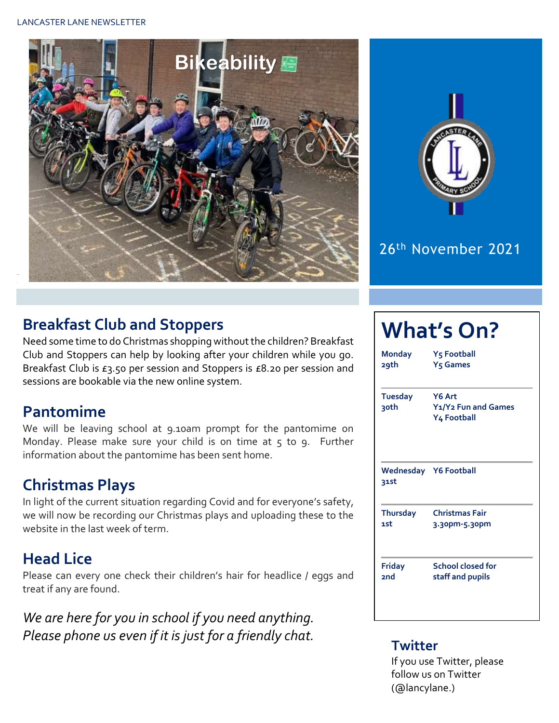



## 26th November 2021

## **Breakfast Club and Stoppers**

Need some time to do Christmas shopping without the children? Breakfast Club and Stoppers can help by looking after your children while you go. Breakfast Club is £3.50 per session and Stoppers is £8.20 per session and sessions are bookable via the new online system.

#### **Pantomime**

We will be leaving school at 9.10am prompt for the pantomime on Monday. Please make sure your child is on time at  $5$  to  $9$ . Further information about the pantomime has been sent home.

## **Christmas Plays**

In light of the current situation regarding Covid and for everyone's safety, we will now be recording our Christmas plays and uploading these to the website in the last week of term.

## **Head Lice**

Please can every one check their children's hair for headlice / eggs and treat if any are found.

*We are here for you in school if you need anything. Please phone us even if it is just for a friendly chat.* **Twitter**

## **What's On?**

**Monday Y5 Football 29th Y5 Games Tuesday Y6 Art 30th Y1/Y2 Fun and Games Y4 Football Wednesday Y6 Football 31st Thursday Christmas Fair 1st 3.30pm-5.30pm Friday School closed for 2nd staff and pupils**

If you use Twitter, please follow us on Twitter (@lancylane.)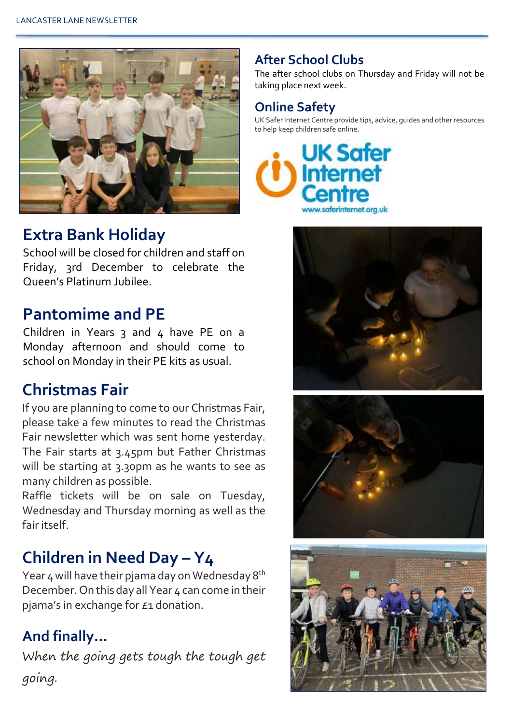

### **Extra Bank Holiday**

School will be closed for children and staff on Friday, 3rd December to celebrate the Queen's Platinum Jubilee.

## **Pantomime and PE**

Children in Years  $3$  and  $4$  have PE on a Monday afternoon and should come to school on Monday in their PE kits as usual.

## **Christmas Fair**

If you are planning to come to our Christmas Fair, please take a few minutes to read the Christmas Fair newsletter which was sent home yesterday. The Fair starts at 3.45pm but Father Christmas will be starting at 3.30pm as he wants to see as many children as possible.

Raffle tickets will be on sale on Tuesday, Wednesday and Thursday morning as well as the fair itself.

## **Children in Need Day – Y4**

Year  $4$  will have their pjama day on Wednesday  $8<sup>th</sup>$ December. On this day all Year 4 can come in their pjama's in exchange for £1 donation.

## **And finally…**

When the going gets tough the tough get going.

#### **After School Clubs**

The after school clubs on Thursday and Friday will not be taking place next week.

#### **Online Safety**

UK Safer Internet Centre provide tips, advice, guides and other resources to help keep children safe online.